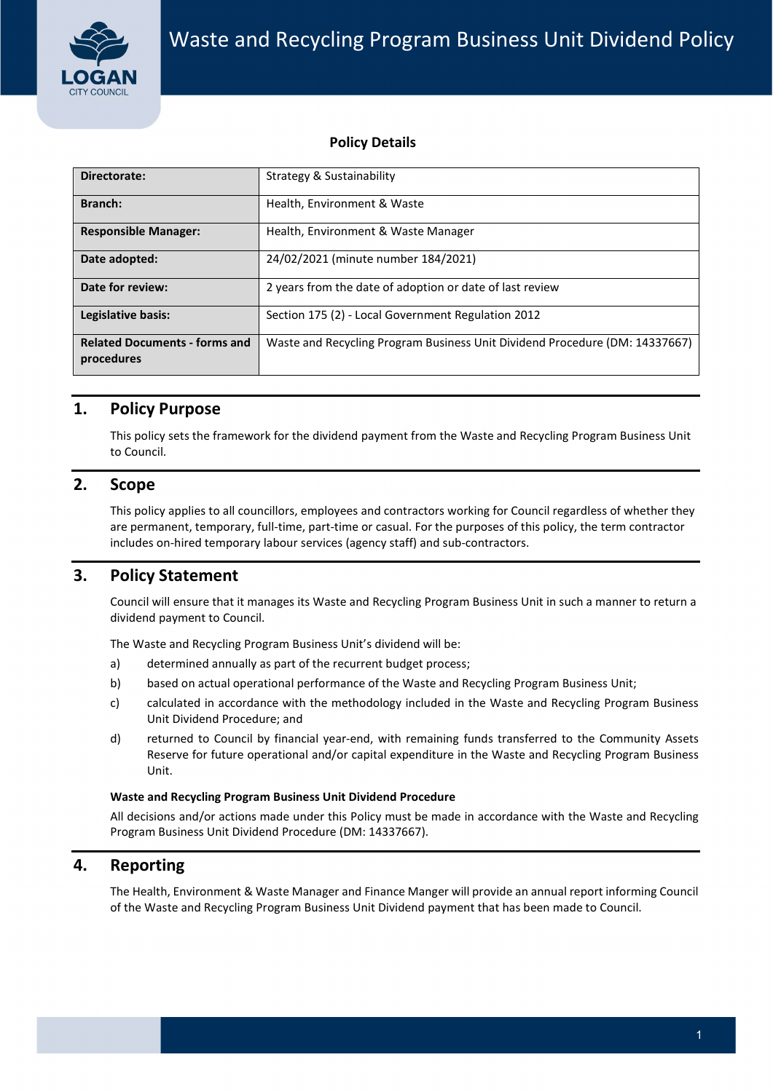

### Policy Details

|                |                                                    | <b>Policy Details</b>                                                                                                                                                                                                                                                                                                                                                                     |  |  |
|----------------|----------------------------------------------------|-------------------------------------------------------------------------------------------------------------------------------------------------------------------------------------------------------------------------------------------------------------------------------------------------------------------------------------------------------------------------------------------|--|--|
|                | Directorate:                                       | <b>Strategy &amp; Sustainability</b>                                                                                                                                                                                                                                                                                                                                                      |  |  |
| <b>Branch:</b> |                                                    | Health, Environment & Waste                                                                                                                                                                                                                                                                                                                                                               |  |  |
|                | <b>Responsible Manager:</b>                        | Health, Environment & Waste Manager<br>24/02/2021 (minute number 184/2021)<br>2 years from the date of adoption or date of last review<br>Section 175 (2) - Local Government Regulation 2012<br>Waste and Recycling Program Business Unit Dividend Procedure (DM: 14337667)                                                                                                               |  |  |
|                | Date adopted:                                      |                                                                                                                                                                                                                                                                                                                                                                                           |  |  |
|                | Date for review:                                   |                                                                                                                                                                                                                                                                                                                                                                                           |  |  |
|                | Legislative basis:                                 |                                                                                                                                                                                                                                                                                                                                                                                           |  |  |
|                | <b>Related Documents - forms and</b><br>procedures |                                                                                                                                                                                                                                                                                                                                                                                           |  |  |
| 1.             | <b>Policy Purpose</b><br>to Council.               | This policy sets the framework for the dividend payment from the Waste and Recycling Program Business Unit                                                                                                                                                                                                                                                                                |  |  |
|                | <b>Scope</b>                                       | This policy applies to all councillors, employees and contractors working for Council regardless of whether they                                                                                                                                                                                                                                                                          |  |  |
|                |                                                    | are permanent, temporary, full-time, part-time or casual. For the purposes of this policy, the term contractor<br>includes on-hired temporary labour services (agency staff) and sub-contractors.                                                                                                                                                                                         |  |  |
|                | <b>Policy Statement</b>                            |                                                                                                                                                                                                                                                                                                                                                                                           |  |  |
|                | dividend payment to Council.                       | Council will ensure that it manages its Waste and Recycling Program Business Unit in such a manner to return a                                                                                                                                                                                                                                                                            |  |  |
|                |                                                    | The Waste and Recycling Program Business Unit's dividend will be:                                                                                                                                                                                                                                                                                                                         |  |  |
|                | a)                                                 | determined annually as part of the recurrent budget process;                                                                                                                                                                                                                                                                                                                              |  |  |
| 2.<br>3.       | b)<br>c)                                           | based on actual operational performance of the Waste and Recycling Program Business Unit;                                                                                                                                                                                                                                                                                                 |  |  |
|                | Unit Dividend Procedure; and<br>d)<br>Unit.        |                                                                                                                                                                                                                                                                                                                                                                                           |  |  |
|                |                                                    | calculated in accordance with the methodology included in the Waste and Recycling Program Business<br>returned to Council by financial year-end, with remaining funds transferred to the Community Assets<br>Reserve for future operational and/or capital expenditure in the Waste and Recycling Program Business<br><b>Waste and Recycling Program Business Unit Dividend Procedure</b> |  |  |

## 1. Policy Purpose

### $2.$ **Scope**

- a) determined annually as part of the recurrent budget process;
- b) based on actual operational performance of the Waste and Recycling Program Business Unit;
- c) calculated in accordance with the methodology included in the Waste and Recycling Program Business Unit Dividend Procedure; and
- d) returned to Council by financial year-end, with remaining funds transferred to the Community Assets Reserve for future operational and/or capital expenditure in the Waste and Recycling Program Business Unit.

### Waste and Recycling Program Business Unit Dividend Procedure

### 4. Reporting